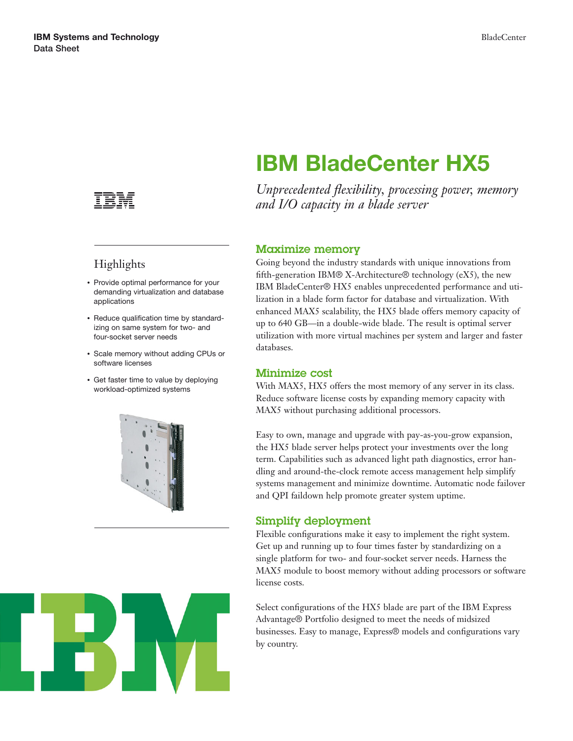

## Highlights

- Provide optimal performance for your demanding virtualization and database applications
- Reduce qualification time by standardizing on same system for two- and four-socket server needs
- Scale memory without adding CPUs or software licenses
- Get faster time to value by deploying workload-optimized systems





# **IBM BladeCenter HX5**

*Unprecedented flexibility, processing power, memory and I/O capacity in a blade server*

#### **Maximize memory**

Going beyond the industry standards with unique innovations from fifth-generation IBM® X-Architecture® technology (eX5), the new IBM BladeCenter® HX5 enables unprecedented performance and utilization in a blade form factor for database and virtualization. With enhanced MAX5 scalability, the HX5 blade offers memory capacity of up to 640 GB—in a double-wide blade. The result is optimal server utilization with more virtual machines per system and larger and faster databases.

#### **Minimize cost**

With MAX5, HX5 offers the most memory of any server in its class. Reduce software license costs by expanding memory capacity with MAX5 without purchasing additional processors.

Easy to own, manage and upgrade with pay-as-you-grow expansion, the HX5 blade server helps protect your investments over the long term. Capabilities such as advanced light path diagnostics, error handling and around-the-clock remote access management help simplify systems management and minimize downtime. Automatic node failover and QPI faildown help promote greater system uptime.

### **Simplify deployment**

Flexible configurations make it easy to implement the right system. Get up and running up to four times faster by standardizing on a single platform for two- and four-socket server needs. Harness the MAX5 module to boost memory without adding processors or software license costs.

Select configurations of the HX5 blade are part of the IBM Express Advantage® Portfolio designed to meet the needs of midsized businesses. Easy to manage, Express® models and configurations vary by country.